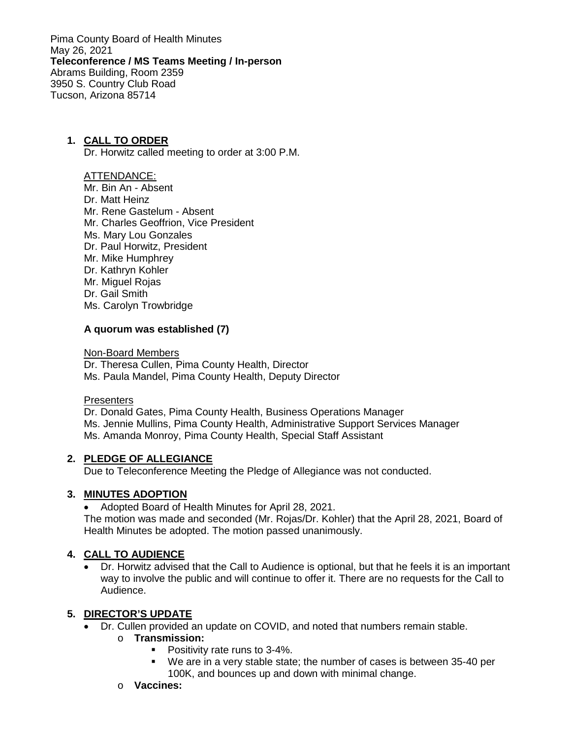Pima County Board of Health Minutes May 26, 2021 **Teleconference / MS Teams Meeting / In-person** Abrams Building, Room 2359 3950 S. Country Club Road Tucson, Arizona 85714

### **1. CALL TO ORDER**

Dr. Horwitz called meeting to order at 3:00 P.M.

#### ATTENDANCE:

Mr. Bin An - Absent Dr. Matt Heinz Mr. Rene Gastelum - Absent Mr. Charles Geoffrion, Vice President Ms. Mary Lou Gonzales Dr. Paul Horwitz, President Mr. Mike Humphrey Dr. Kathryn Kohler Mr. Miguel Rojas Dr. Gail Smith Ms. Carolyn Trowbridge

#### **A quorum was established (7)**

Non-Board Members

Dr. Theresa Cullen, Pima County Health, Director Ms. Paula Mandel, Pima County Health, Deputy Director

#### **Presenters**

Dr. Donald Gates, Pima County Health, Business Operations Manager Ms. Jennie Mullins, Pima County Health, Administrative Support Services Manager Ms. Amanda Monroy, Pima County Health, Special Staff Assistant

#### **2. PLEDGE OF ALLEGIANCE**

Due to Teleconference Meeting the Pledge of Allegiance was not conducted.

#### **3. MINUTES ADOPTION**

• Adopted Board of Health Minutes for April 28, 2021.

The motion was made and seconded (Mr. Rojas/Dr. Kohler) that the April 28, 2021, Board of Health Minutes be adopted. The motion passed unanimously.

#### **4. CALL TO AUDIENCE**

• Dr. Horwitz advised that the Call to Audience is optional, but that he feels it is an important way to involve the public and will continue to offer it. There are no requests for the Call to Audience.

#### **5. DIRECTOR'S UPDATE**

- Dr. Cullen provided an update on COVID, and noted that numbers remain stable.
	- o **Transmission:**
		- **Positivity rate runs to 3-4%.**
		- We are in a very stable state; the number of cases is between 35-40 per 100K, and bounces up and down with minimal change.
	- o **Vaccines:**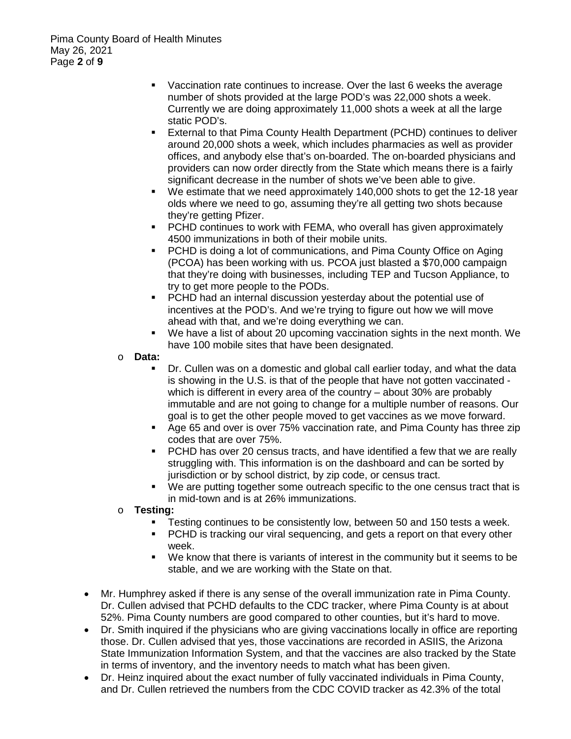- Vaccination rate continues to increase. Over the last 6 weeks the average number of shots provided at the large POD's was 22,000 shots a week. Currently we are doing approximately 11,000 shots a week at all the large static POD's.
- External to that Pima County Health Department (PCHD) continues to deliver around 20,000 shots a week, which includes pharmacies as well as provider offices, and anybody else that's on-boarded. The on-boarded physicians and providers can now order directly from the State which means there is a fairly significant decrease in the number of shots we've been able to give.
- We estimate that we need approximately 140,000 shots to get the 12-18 year olds where we need to go, assuming they're all getting two shots because they're getting Pfizer.
- PCHD continues to work with FEMA, who overall has given approximately 4500 immunizations in both of their mobile units.
- PCHD is doing a lot of communications, and Pima County Office on Aging (PCOA) has been working with us. PCOA just blasted a \$70,000 campaign that they're doing with businesses, including TEP and Tucson Appliance, to try to get more people to the PODs.
- PCHD had an internal discussion yesterday about the potential use of incentives at the POD's. And we're trying to figure out how we will move ahead with that, and we're doing everything we can.
- We have a list of about 20 upcoming vaccination sights in the next month. We have 100 mobile sites that have been designated.
- o **Data:**
	- Dr. Cullen was on a domestic and global call earlier today, and what the data is showing in the U.S. is that of the people that have not gotten vaccinated which is different in every area of the country – about 30% are probably immutable and are not going to change for a multiple number of reasons. Our goal is to get the other people moved to get vaccines as we move forward.
	- Age 65 and over is over 75% vaccination rate, and Pima County has three zip codes that are over 75%.
	- PCHD has over 20 census tracts, and have identified a few that we are really struggling with. This information is on the dashboard and can be sorted by jurisdiction or by school district, by zip code, or census tract.
	- We are putting together some outreach specific to the one census tract that is in mid-town and is at 26% immunizations.
- o **Testing:**
	- Testing continues to be consistently low, between 50 and 150 tests a week.
	- **PCHD** is tracking our viral sequencing, and gets a report on that every other week.
	- We know that there is variants of interest in the community but it seems to be stable, and we are working with the State on that.
- Mr. Humphrey asked if there is any sense of the overall immunization rate in Pima County. Dr. Cullen advised that PCHD defaults to the CDC tracker, where Pima County is at about 52%. Pima County numbers are good compared to other counties, but it's hard to move.
- Dr. Smith inquired if the physicians who are giving vaccinations locally in office are reporting those. Dr. Cullen advised that yes, those vaccinations are recorded in ASIIS, the Arizona State Immunization Information System, and that the vaccines are also tracked by the State in terms of inventory, and the inventory needs to match what has been given.
- Dr. Heinz inquired about the exact number of fully vaccinated individuals in Pima County, and Dr. Cullen retrieved the numbers from the CDC COVID tracker as 42.3% of the total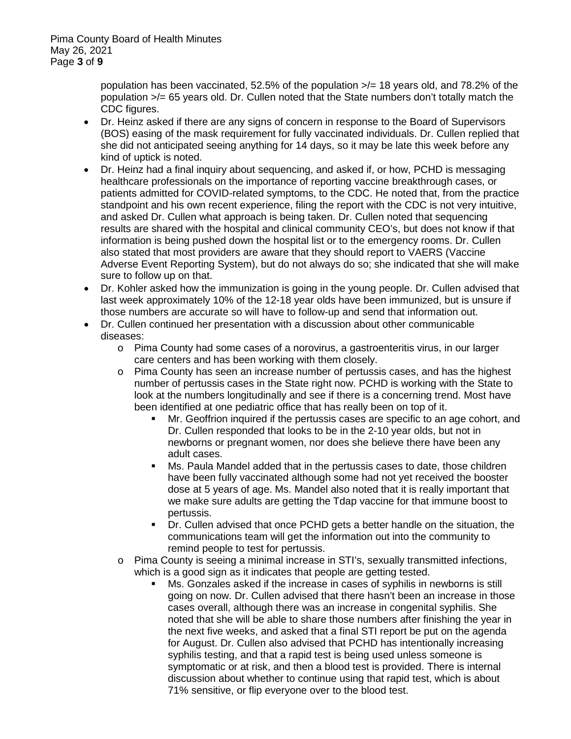population has been vaccinated, 52.5% of the population  $\lambda$  = 18 years old, and 78.2% of the population >/= 65 years old. Dr. Cullen noted that the State numbers don't totally match the CDC figures.

- Dr. Heinz asked if there are any signs of concern in response to the Board of Supervisors (BOS) easing of the mask requirement for fully vaccinated individuals. Dr. Cullen replied that she did not anticipated seeing anything for 14 days, so it may be late this week before any kind of uptick is noted.
- Dr. Heinz had a final inquiry about sequencing, and asked if, or how, PCHD is messaging healthcare professionals on the importance of reporting vaccine breakthrough cases, or patients admitted for COVID-related symptoms, to the CDC. He noted that, from the practice standpoint and his own recent experience, filing the report with the CDC is not very intuitive, and asked Dr. Cullen what approach is being taken. Dr. Cullen noted that sequencing results are shared with the hospital and clinical community CEO's, but does not know if that information is being pushed down the hospital list or to the emergency rooms. Dr. Cullen also stated that most providers are aware that they should report to VAERS (Vaccine Adverse Event Reporting System), but do not always do so; she indicated that she will make sure to follow up on that.
- Dr. Kohler asked how the immunization is going in the young people. Dr. Cullen advised that last week approximately 10% of the 12-18 year olds have been immunized, but is unsure if those numbers are accurate so will have to follow-up and send that information out.
- Dr. Cullen continued her presentation with a discussion about other communicable diseases:
	- $\circ$  Pima County had some cases of a norovirus, a gastroenteritis virus, in our larger care centers and has been working with them closely.
	- o Pima County has seen an increase number of pertussis cases, and has the highest number of pertussis cases in the State right now. PCHD is working with the State to look at the numbers longitudinally and see if there is a concerning trend. Most have been identified at one pediatric office that has really been on top of it.
		- Mr. Geoffrion inquired if the pertussis cases are specific to an age cohort, and Dr. Cullen responded that looks to be in the 2-10 year olds, but not in newborns or pregnant women, nor does she believe there have been any adult cases.
		- Ms. Paula Mandel added that in the pertussis cases to date, those children have been fully vaccinated although some had not yet received the booster dose at 5 years of age. Ms. Mandel also noted that it is really important that we make sure adults are getting the Tdap vaccine for that immune boost to pertussis.
		- Dr. Cullen advised that once PCHD gets a better handle on the situation, the communications team will get the information out into the community to remind people to test for pertussis.
	- o Pima County is seeing a minimal increase in STI's, sexually transmitted infections, which is a good sign as it indicates that people are getting tested.
		- Ms. Gonzales asked if the increase in cases of syphilis in newborns is still going on now. Dr. Cullen advised that there hasn't been an increase in those cases overall, although there was an increase in congenital syphilis. She noted that she will be able to share those numbers after finishing the year in the next five weeks, and asked that a final STI report be put on the agenda for August. Dr. Cullen also advised that PCHD has intentionally increasing syphilis testing, and that a rapid test is being used unless someone is symptomatic or at risk, and then a blood test is provided. There is internal discussion about whether to continue using that rapid test, which is about 71% sensitive, or flip everyone over to the blood test.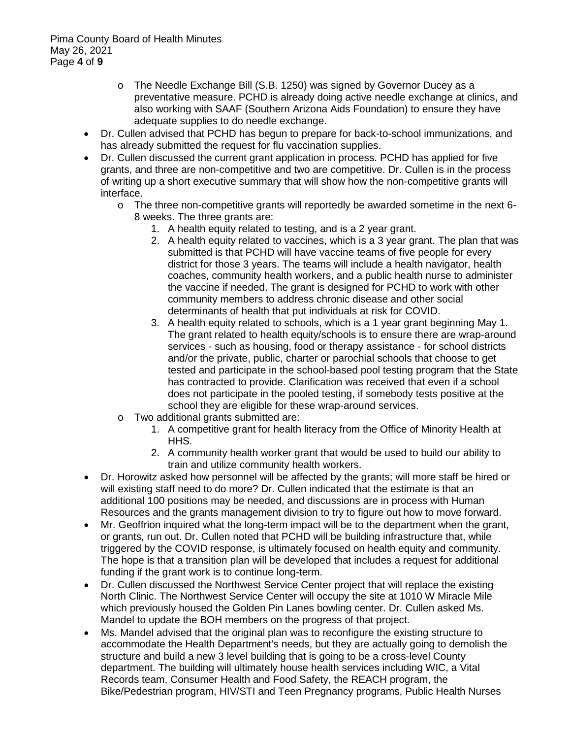- o The Needle Exchange Bill (S.B. 1250) was signed by Governor Ducey as a preventative measure. PCHD is already doing active needle exchange at clinics, and also working with SAAF (Southern Arizona Aids Foundation) to ensure they have adequate supplies to do needle exchange.
- Dr. Cullen advised that PCHD has begun to prepare for back-to-school immunizations, and has already submitted the request for flu vaccination supplies.
- Dr. Cullen discussed the current grant application in process. PCHD has applied for five grants, and three are non-competitive and two are competitive. Dr. Cullen is in the process of writing up a short executive summary that will show how the non-competitive grants will interface.
	- o The three non-competitive grants will reportedly be awarded sometime in the next 6- 8 weeks. The three grants are:
		- 1. A health equity related to testing, and is a 2 year grant.
		- 2. A health equity related to vaccines, which is a 3 year grant. The plan that was submitted is that PCHD will have vaccine teams of five people for every district for those 3 years. The teams will include a health navigator, health coaches, community health workers, and a public health nurse to administer the vaccine if needed. The grant is designed for PCHD to work with other community members to address chronic disease and other social determinants of health that put individuals at risk for COVID.
		- 3. A health equity related to schools, which is a 1 year grant beginning May 1. The grant related to health equity/schools is to ensure there are wrap-around services - such as housing, food or therapy assistance - for school districts and/or the private, public, charter or parochial schools that choose to get tested and participate in the school-based pool testing program that the State has contracted to provide. Clarification was received that even if a school does not participate in the pooled testing, if somebody tests positive at the school they are eligible for these wrap-around services.
	- o Two additional grants submitted are:
		- 1. A competitive grant for health literacy from the Office of Minority Health at HHS.
		- 2. A community health worker grant that would be used to build our ability to train and utilize community health workers.
- Dr. Horowitz asked how personnel will be affected by the grants; will more staff be hired or will existing staff need to do more? Dr. Cullen indicated that the estimate is that an additional 100 positions may be needed, and discussions are in process with Human Resources and the grants management division to try to figure out how to move forward.
- Mr. Geoffrion inquired what the long-term impact will be to the department when the grant, or grants, run out. Dr. Cullen noted that PCHD will be building infrastructure that, while triggered by the COVID response, is ultimately focused on health equity and community. The hope is that a transition plan will be developed that includes a request for additional funding if the grant work is to continue long-term.
- Dr. Cullen discussed the Northwest Service Center project that will replace the existing North Clinic. The Northwest Service Center will occupy the site at 1010 W Miracle Mile which previously housed the Golden Pin Lanes bowling center. Dr. Cullen asked Ms. Mandel to update the BOH members on the progress of that project.
- Ms. Mandel advised that the original plan was to reconfigure the existing structure to accommodate the Health Department's needs, but they are actually going to demolish the structure and build a new 3 level building that is going to be a cross-level County department. The building will ultimately house health services including WIC, a Vital Records team, Consumer Health and Food Safety, the REACH program, the Bike/Pedestrian program, HIV/STI and Teen Pregnancy programs, Public Health Nurses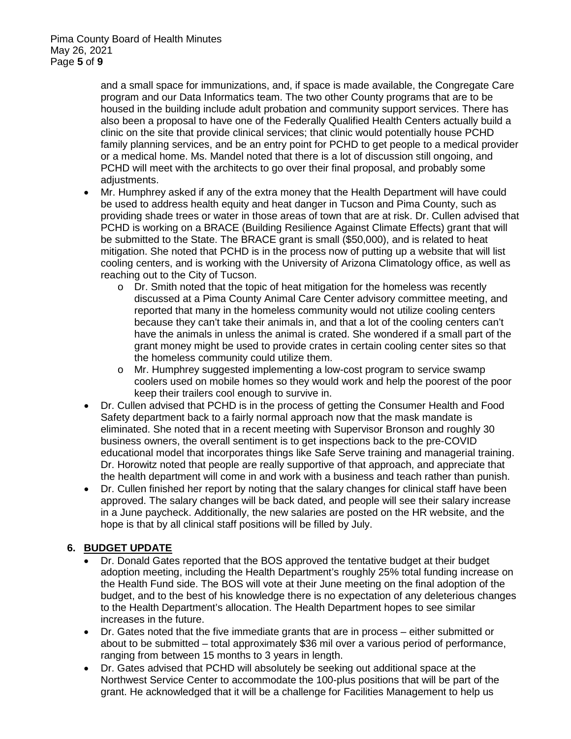and a small space for immunizations, and, if space is made available, the Congregate Care program and our Data Informatics team. The two other County programs that are to be housed in the building include adult probation and community support services. There has also been a proposal to have one of the Federally Qualified Health Centers actually build a clinic on the site that provide clinical services; that clinic would potentially house PCHD family planning services, and be an entry point for PCHD to get people to a medical provider or a medical home. Ms. Mandel noted that there is a lot of discussion still ongoing, and PCHD will meet with the architects to go over their final proposal, and probably some adjustments.

- Mr. Humphrey asked if any of the extra money that the Health Department will have could be used to address health equity and heat danger in Tucson and Pima County, such as providing shade trees or water in those areas of town that are at risk. Dr. Cullen advised that PCHD is working on a BRACE (Building Resilience Against Climate Effects) grant that will be submitted to the State. The BRACE grant is small (\$50,000), and is related to heat mitigation. She noted that PCHD is in the process now of putting up a website that will list cooling centers, and is working with the University of Arizona Climatology office, as well as reaching out to the City of Tucson.
	- o Dr. Smith noted that the topic of heat mitigation for the homeless was recently discussed at a Pima County Animal Care Center advisory committee meeting, and reported that many in the homeless community would not utilize cooling centers because they can't take their animals in, and that a lot of the cooling centers can't have the animals in unless the animal is crated. She wondered if a small part of the grant money might be used to provide crates in certain cooling center sites so that the homeless community could utilize them.
	- o Mr. Humphrey suggested implementing a low-cost program to service swamp coolers used on mobile homes so they would work and help the poorest of the poor keep their trailers cool enough to survive in.
- Dr. Cullen advised that PCHD is in the process of getting the Consumer Health and Food Safety department back to a fairly normal approach now that the mask mandate is eliminated. She noted that in a recent meeting with Supervisor Bronson and roughly 30 business owners, the overall sentiment is to get inspections back to the pre-COVID educational model that incorporates things like Safe Serve training and managerial training. Dr. Horowitz noted that people are really supportive of that approach, and appreciate that the health department will come in and work with a business and teach rather than punish.
- Dr. Cullen finished her report by noting that the salary changes for clinical staff have been approved. The salary changes will be back dated, and people will see their salary increase in a June paycheck. Additionally, the new salaries are posted on the HR website, and the hope is that by all clinical staff positions will be filled by July.

## **6. BUDGET UPDATE**

- Dr. Donald Gates reported that the BOS approved the tentative budget at their budget adoption meeting, including the Health Department's roughly 25% total funding increase on the Health Fund side. The BOS will vote at their June meeting on the final adoption of the budget, and to the best of his knowledge there is no expectation of any deleterious changes to the Health Department's allocation. The Health Department hopes to see similar increases in the future.
- Dr. Gates noted that the five immediate grants that are in process either submitted or about to be submitted – total approximately \$36 mil over a various period of performance, ranging from between 15 months to 3 years in length.
- Dr. Gates advised that PCHD will absolutely be seeking out additional space at the Northwest Service Center to accommodate the 100-plus positions that will be part of the grant. He acknowledged that it will be a challenge for Facilities Management to help us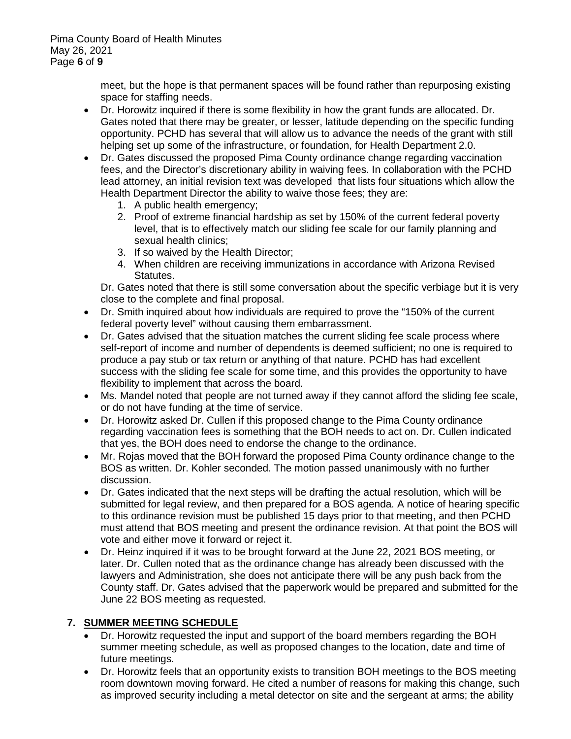meet, but the hope is that permanent spaces will be found rather than repurposing existing space for staffing needs.

- Dr. Horowitz inquired if there is some flexibility in how the grant funds are allocated. Dr. Gates noted that there may be greater, or lesser, latitude depending on the specific funding opportunity. PCHD has several that will allow us to advance the needs of the grant with still helping set up some of the infrastructure, or foundation, for Health Department 2.0.
- Dr. Gates discussed the proposed Pima County ordinance change regarding vaccination fees, and the Director's discretionary ability in waiving fees. In collaboration with the PCHD lead attorney, an initial revision text was developed that lists four situations which allow the Health Department Director the ability to waive those fees; they are:
	- 1. A public health emergency;
	- 2. Proof of extreme financial hardship as set by 150% of the current federal poverty level, that is to effectively match our sliding fee scale for our family planning and sexual health clinics;
	- 3. If so waived by the Health Director;
	- 4. When children are receiving immunizations in accordance with Arizona Revised Statutes.

Dr. Gates noted that there is still some conversation about the specific verbiage but it is very close to the complete and final proposal.

- Dr. Smith inquired about how individuals are required to prove the "150% of the current federal poverty level" without causing them embarrassment.
- Dr. Gates advised that the situation matches the current sliding fee scale process where self-report of income and number of dependents is deemed sufficient; no one is required to produce a pay stub or tax return or anything of that nature. PCHD has had excellent success with the sliding fee scale for some time, and this provides the opportunity to have flexibility to implement that across the board.
- Ms. Mandel noted that people are not turned away if they cannot afford the sliding fee scale, or do not have funding at the time of service.
- Dr. Horowitz asked Dr. Cullen if this proposed change to the Pima County ordinance regarding vaccination fees is something that the BOH needs to act on. Dr. Cullen indicated that yes, the BOH does need to endorse the change to the ordinance.
- Mr. Rojas moved that the BOH forward the proposed Pima County ordinance change to the BOS as written. Dr. Kohler seconded. The motion passed unanimously with no further discussion.
- Dr. Gates indicated that the next steps will be drafting the actual resolution, which will be submitted for legal review, and then prepared for a BOS agenda. A notice of hearing specific to this ordinance revision must be published 15 days prior to that meeting, and then PCHD must attend that BOS meeting and present the ordinance revision. At that point the BOS will vote and either move it forward or reject it.
- Dr. Heinz inquired if it was to be brought forward at the June 22, 2021 BOS meeting, or later. Dr. Cullen noted that as the ordinance change has already been discussed with the lawyers and Administration, she does not anticipate there will be any push back from the County staff. Dr. Gates advised that the paperwork would be prepared and submitted for the June 22 BOS meeting as requested.

## **7. SUMMER MEETING SCHEDULE**

- Dr. Horowitz requested the input and support of the board members regarding the BOH summer meeting schedule, as well as proposed changes to the location, date and time of future meetings.
- Dr. Horowitz feels that an opportunity exists to transition BOH meetings to the BOS meeting room downtown moving forward. He cited a number of reasons for making this change, such as improved security including a metal detector on site and the sergeant at arms; the ability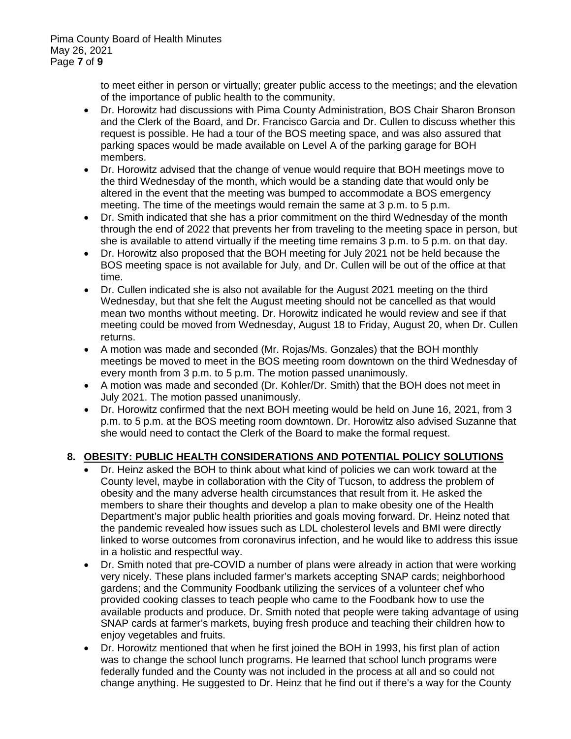to meet either in person or virtually; greater public access to the meetings; and the elevation of the importance of public health to the community.

- Dr. Horowitz had discussions with Pima County Administration, BOS Chair Sharon Bronson and the Clerk of the Board, and Dr. Francisco Garcia and Dr. Cullen to discuss whether this request is possible. He had a tour of the BOS meeting space, and was also assured that parking spaces would be made available on Level A of the parking garage for BOH members.
- Dr. Horowitz advised that the change of venue would require that BOH meetings move to the third Wednesday of the month, which would be a standing date that would only be altered in the event that the meeting was bumped to accommodate a BOS emergency meeting. The time of the meetings would remain the same at 3 p.m. to 5 p.m.
- Dr. Smith indicated that she has a prior commitment on the third Wednesday of the month through the end of 2022 that prevents her from traveling to the meeting space in person, but she is available to attend virtually if the meeting time remains 3 p.m. to 5 p.m. on that day.
- Dr. Horowitz also proposed that the BOH meeting for July 2021 not be held because the BOS meeting space is not available for July, and Dr. Cullen will be out of the office at that time.
- Dr. Cullen indicated she is also not available for the August 2021 meeting on the third Wednesday, but that she felt the August meeting should not be cancelled as that would mean two months without meeting. Dr. Horowitz indicated he would review and see if that meeting could be moved from Wednesday, August 18 to Friday, August 20, when Dr. Cullen returns.
- A motion was made and seconded (Mr. Rojas/Ms. Gonzales) that the BOH monthly meetings be moved to meet in the BOS meeting room downtown on the third Wednesday of every month from 3 p.m. to 5 p.m. The motion passed unanimously.
- A motion was made and seconded (Dr. Kohler/Dr. Smith) that the BOH does not meet in July 2021. The motion passed unanimously.
- Dr. Horowitz confirmed that the next BOH meeting would be held on June 16, 2021, from 3 p.m. to 5 p.m. at the BOS meeting room downtown. Dr. Horowitz also advised Suzanne that she would need to contact the Clerk of the Board to make the formal request.

## **8. OBESITY: PUBLIC HEALTH CONSIDERATIONS AND POTENTIAL POLICY SOLUTIONS**

- Dr. Heinz asked the BOH to think about what kind of policies we can work toward at the County level, maybe in collaboration with the City of Tucson, to address the problem of obesity and the many adverse health circumstances that result from it. He asked the members to share their thoughts and develop a plan to make obesity one of the Health Department's major public health priorities and goals moving forward. Dr. Heinz noted that the pandemic revealed how issues such as LDL cholesterol levels and BMI were directly linked to worse outcomes from coronavirus infection, and he would like to address this issue in a holistic and respectful way.
- Dr. Smith noted that pre-COVID a number of plans were already in action that were working very nicely. These plans included farmer's markets accepting SNAP cards; neighborhood gardens; and the Community Foodbank utilizing the services of a volunteer chef who provided cooking classes to teach people who came to the Foodbank how to use the available products and produce. Dr. Smith noted that people were taking advantage of using SNAP cards at farmer's markets, buying fresh produce and teaching their children how to enjoy vegetables and fruits.
- Dr. Horowitz mentioned that when he first joined the BOH in 1993, his first plan of action was to change the school lunch programs. He learned that school lunch programs were federally funded and the County was not included in the process at all and so could not change anything. He suggested to Dr. Heinz that he find out if there's a way for the County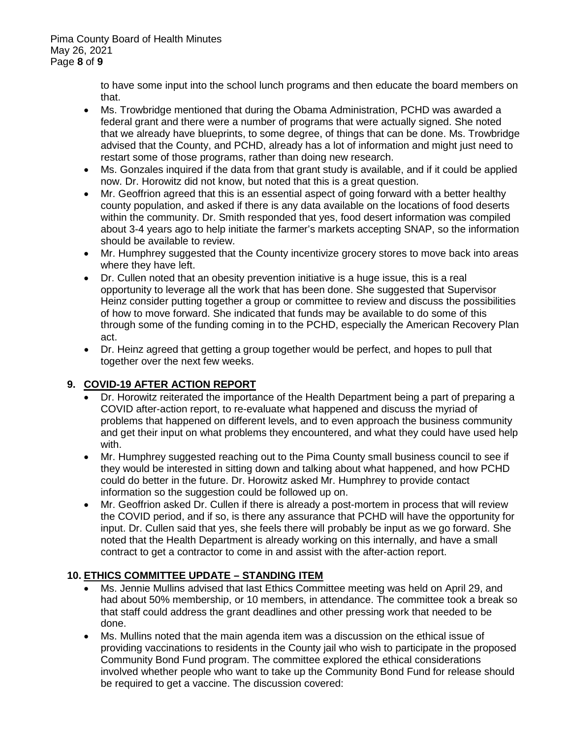to have some input into the school lunch programs and then educate the board members on that.

- Ms. Trowbridge mentioned that during the Obama Administration, PCHD was awarded a federal grant and there were a number of programs that were actually signed. She noted that we already have blueprints, to some degree, of things that can be done. Ms. Trowbridge advised that the County, and PCHD, already has a lot of information and might just need to restart some of those programs, rather than doing new research.
- Ms. Gonzales inquired if the data from that grant study is available, and if it could be applied now. Dr. Horowitz did not know, but noted that this is a great question.
- Mr. Geoffrion agreed that this is an essential aspect of going forward with a better healthy county population, and asked if there is any data available on the locations of food deserts within the community. Dr. Smith responded that yes, food desert information was compiled about 3-4 years ago to help initiate the farmer's markets accepting SNAP, so the information should be available to review.
- Mr. Humphrey suggested that the County incentivize grocery stores to move back into areas where they have left.
- Dr. Cullen noted that an obesity prevention initiative is a huge issue, this is a real opportunity to leverage all the work that has been done. She suggested that Supervisor Heinz consider putting together a group or committee to review and discuss the possibilities of how to move forward. She indicated that funds may be available to do some of this through some of the funding coming in to the PCHD, especially the American Recovery Plan act.
- Dr. Heinz agreed that getting a group together would be perfect, and hopes to pull that together over the next few weeks.

# **9. COVID-19 AFTER ACTION REPORT**

- Dr. Horowitz reiterated the importance of the Health Department being a part of preparing a COVID after-action report, to re-evaluate what happened and discuss the myriad of problems that happened on different levels, and to even approach the business community and get their input on what problems they encountered, and what they could have used help with.
- Mr. Humphrey suggested reaching out to the Pima County small business council to see if they would be interested in sitting down and talking about what happened, and how PCHD could do better in the future. Dr. Horowitz asked Mr. Humphrey to provide contact information so the suggestion could be followed up on.
- Mr. Geoffrion asked Dr. Cullen if there is already a post-mortem in process that will review the COVID period, and if so, is there any assurance that PCHD will have the opportunity for input. Dr. Cullen said that yes, she feels there will probably be input as we go forward. She noted that the Health Department is already working on this internally, and have a small contract to get a contractor to come in and assist with the after-action report.

## **10. ETHICS COMMITTEE UPDATE – STANDING ITEM**

- Ms. Jennie Mullins advised that last Ethics Committee meeting was held on April 29, and had about 50% membership, or 10 members, in attendance. The committee took a break so that staff could address the grant deadlines and other pressing work that needed to be done.
- Ms. Mullins noted that the main agenda item was a discussion on the ethical issue of providing vaccinations to residents in the County jail who wish to participate in the proposed Community Bond Fund program. The committee explored the ethical considerations involved whether people who want to take up the Community Bond Fund for release should be required to get a vaccine. The discussion covered: